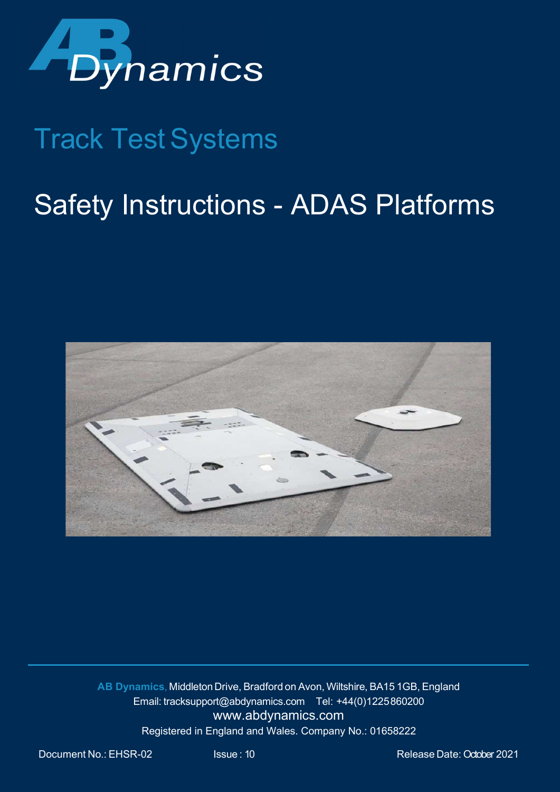

# Track Test Systems

# Safety Instructions - ADAS Platforms



AB Dynamics, Middleton Drive, Bradford on Avon, Wiltshire, BA15 1GB, England Email: tracksupport@abdynamics.com Tel: +44(0)1225 860200 www.abdynamics.com Registered in England and Wales. Company No.: 01658222

Document No.: EHSR-02 Issue : 10 Release Date: October 2021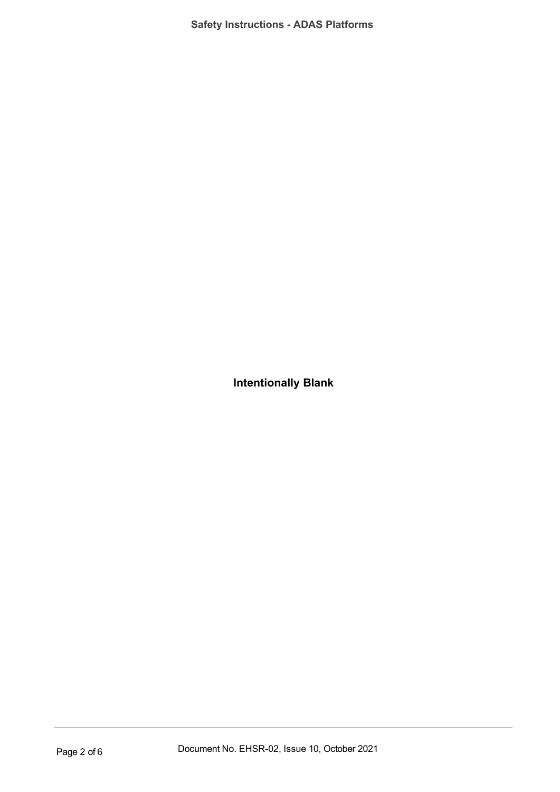Intentionally Blank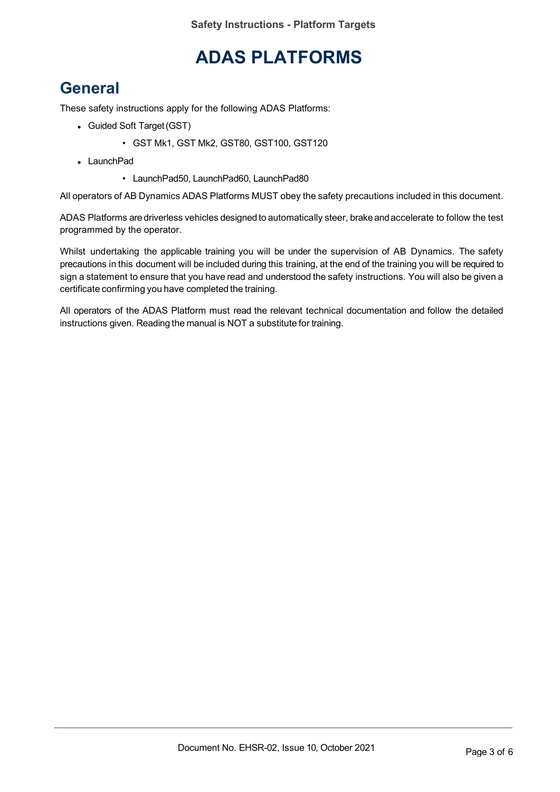## ADAS PLATFORMS

#### **General**

These safety instructions apply for the following ADAS Platforms:

- Guided Soft Target (GST)
	- GST Mk1, GST Mk2, GST80, GST100, GST120
- LaunchPad
	- LaunchPad50, LaunchPad60, LaunchPad80

All operators of AB Dynamics ADAS Platforms MUST obey the safety precautions included in this document.

ADAS Platforms are driverless vehicles designed to automatically steer, brake and accelerate to follow the test programmed by the operator.

Whilst undertaking the applicable training you will be under the supervision of AB Dynamics. The safety precautions in this document will be included during this training, at the end of the training you will be required to sign a statement to ensure that you have read and understood the safety instructions. You will also be given a certificate confirming you have completed the training.

All operators of the ADAS Platform must read the relevant technical documentation and follow the detailed instructions given. Reading the manual is NOT a substitute for training.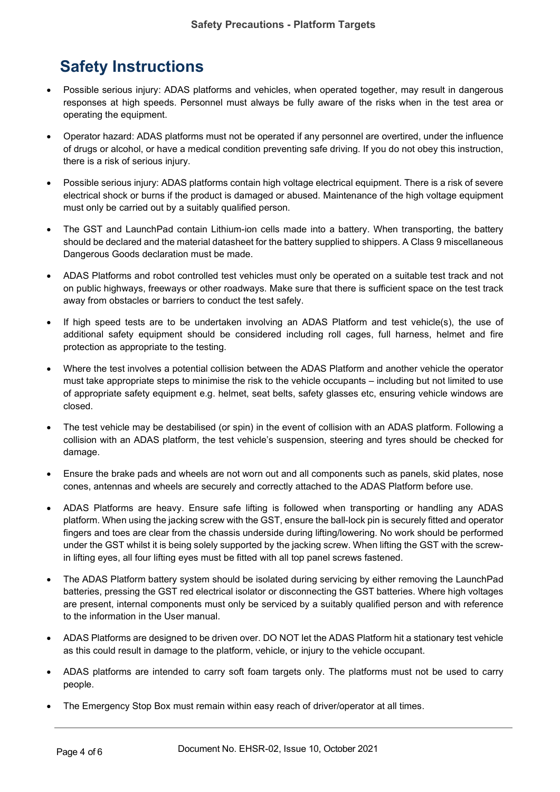### Safety Instructions

- Possible serious injury: ADAS platforms and vehicles, when operated together, may result in dangerous responses at high speeds. Personnel must always be fully aware of the risks when in the test area or operating the equipment.
- Operator hazard: ADAS platforms must not be operated if any personnel are overtired, under the influence of drugs or alcohol, or have a medical condition preventing safe driving. If you do not obey this instruction, there is a risk of serious injury.
- Possible serious injury: ADAS platforms contain high voltage electrical equipment. There is a risk of severe electrical shock or burns if the product is damaged or abused. Maintenance of the high voltage equipment must only be carried out by a suitably qualified person.
- The GST and LaunchPad contain Lithium-ion cells made into a battery. When transporting, the battery should be declared and the material datasheet for the battery supplied to shippers. A Class 9 miscellaneous Dangerous Goods declaration must be made.
- ADAS Platforms and robot controlled test vehicles must only be operated on a suitable test track and not on public highways, freeways or other roadways. Make sure that there is sufficient space on the test track away from obstacles or barriers to conduct the test safely.
- If high speed tests are to be undertaken involving an ADAS Platform and test vehicle(s), the use of additional safety equipment should be considered including roll cages, full harness, helmet and fire protection as appropriate to the testing.
- Where the test involves a potential collision between the ADAS Platform and another vehicle the operator must take appropriate steps to minimise the risk to the vehicle occupants – including but not limited to use of appropriate safety equipment e.g. helmet, seat belts, safety glasses etc, ensuring vehicle windows are closed.
- The test vehicle may be destabilised (or spin) in the event of collision with an ADAS platform. Following a collision with an ADAS platform, the test vehicle's suspension, steering and tyres should be checked for damage.
- Ensure the brake pads and wheels are not worn out and all components such as panels, skid plates, nose cones, antennas and wheels are securely and correctly attached to the ADAS Platform before use.
- ADAS Platforms are heavy. Ensure safe lifting is followed when transporting or handling any ADAS platform. When using the jacking screw with the GST, ensure the ball-lock pin is securely fitted and operator fingers and toes are clear from the chassis underside during lifting/lowering. No work should be performed under the GST whilst it is being solely supported by the jacking screw. When lifting the GST with the screwin lifting eyes, all four lifting eyes must be fitted with all top panel screws fastened.
- The ADAS Platform battery system should be isolated during servicing by either removing the LaunchPad batteries, pressing the GST red electrical isolator or disconnecting the GST batteries. Where high voltages are present, internal components must only be serviced by a suitably qualified person and with reference to the information in the User manual.
- ADAS Platforms are designed to be driven over. DO NOT let the ADAS Platform hit a stationary test vehicle as this could result in damage to the platform, vehicle, or injury to the vehicle occupant.
- ADAS platforms are intended to carry soft foam targets only. The platforms must not be used to carry people.
- The Emergency Stop Box must remain within easy reach of driver/operator at all times.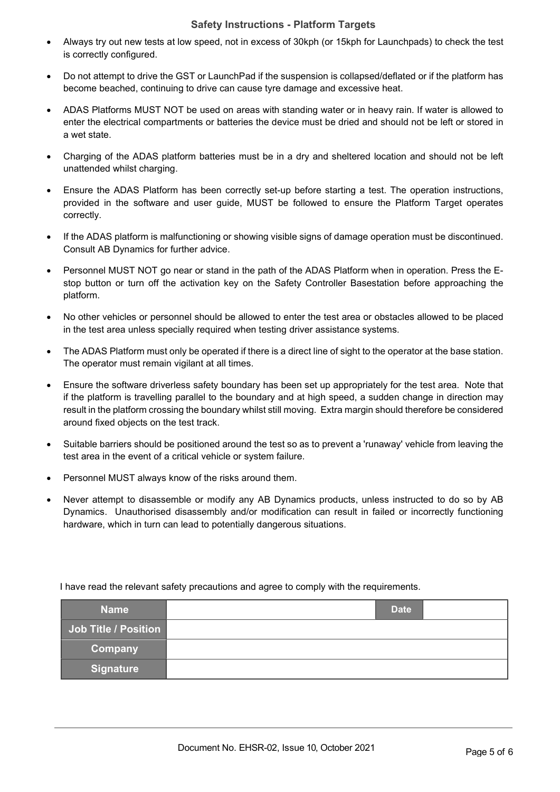#### Safety Instructions - Platform Targets

- Always try out new tests at low speed, not in excess of 30kph (or 15kph for Launchpads) to check the test is correctly configured.
- Do not attempt to drive the GST or LaunchPad if the suspension is collapsed/deflated or if the platform has become beached, continuing to drive can cause tyre damage and excessive heat.
- ADAS Platforms MUST NOT be used on areas with standing water or in heavy rain. If water is allowed to enter the electrical compartments or batteries the device must be dried and should not be left or stored in a wet state.
- Charging of the ADAS platform batteries must be in a dry and sheltered location and should not be left unattended whilst charging.
- Ensure the ADAS Platform has been correctly set-up before starting a test. The operation instructions, provided in the software and user guide, MUST be followed to ensure the Platform Target operates correctly.
- If the ADAS platform is malfunctioning or showing visible signs of damage operation must be discontinued. Consult AB Dynamics for further advice.
- Personnel MUST NOT go near or stand in the path of the ADAS Platform when in operation. Press the Estop button or turn off the activation key on the Safety Controller Basestation before approaching the platform.
- No other vehicles or personnel should be allowed to enter the test area or obstacles allowed to be placed in the test area unless specially required when testing driver assistance systems.
- The ADAS Platform must only be operated if there is a direct line of sight to the operator at the base station. The operator must remain vigilant at all times.
- Ensure the software driverless safety boundary has been set up appropriately for the test area. Note that if the platform is travelling parallel to the boundary and at high speed, a sudden change in direction may result in the platform crossing the boundary whilst still moving. Extra margin should therefore be considered around fixed objects on the test track.
- Suitable barriers should be positioned around the test so as to prevent a 'runaway' vehicle from leaving the test area in the event of a critical vehicle or system failure.
- Personnel MUST always know of the risks around them.
- Never attempt to disassemble or modify any AB Dynamics products, unless instructed to do so by AB Dynamics. Unauthorised disassembly and/or modification can result in failed or incorrectly functioning hardware, which in turn can lead to potentially dangerous situations.

| <b>Name</b>          | <b>Date</b> |  |
|----------------------|-------------|--|
| Job Title / Position |             |  |
| Company              |             |  |
| Signature            |             |  |

I have read the relevant safety precautions and agree to comply with the requirements.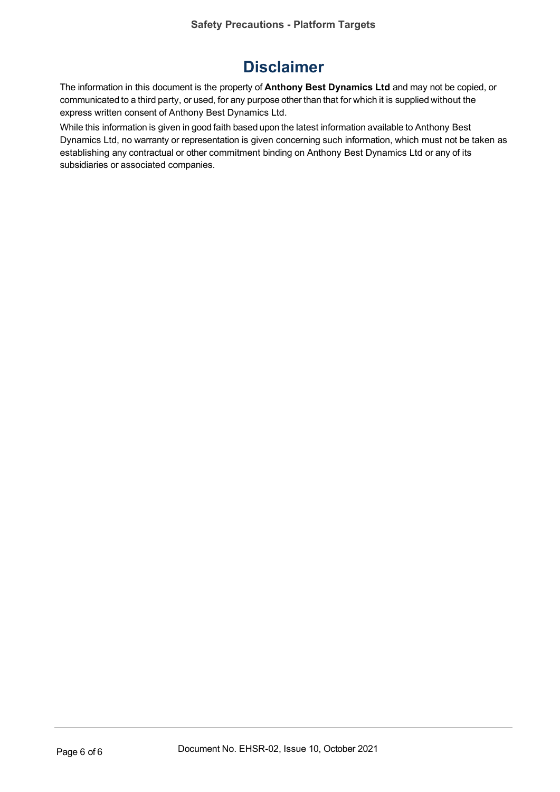### Disclaimer

The information in this document is the property of Anthony Best Dynamics Ltd and may not be copied, or communicated to a third party, or used, for any purpose other than that for which it is supplied without the express written consent of Anthony Best Dynamics Ltd.

While this information is given in good faith based upon the latest information available to Anthony Best Dynamics Ltd, no warranty or representation is given concerning such information, which must not be taken as establishing any contractual or other commitment binding on Anthony Best Dynamics Ltd or any of its subsidiaries or associated companies.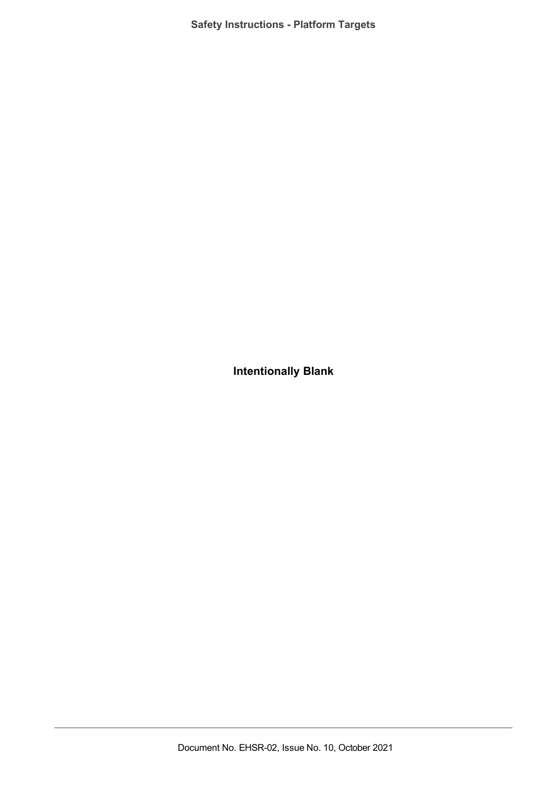Intentionally Blank